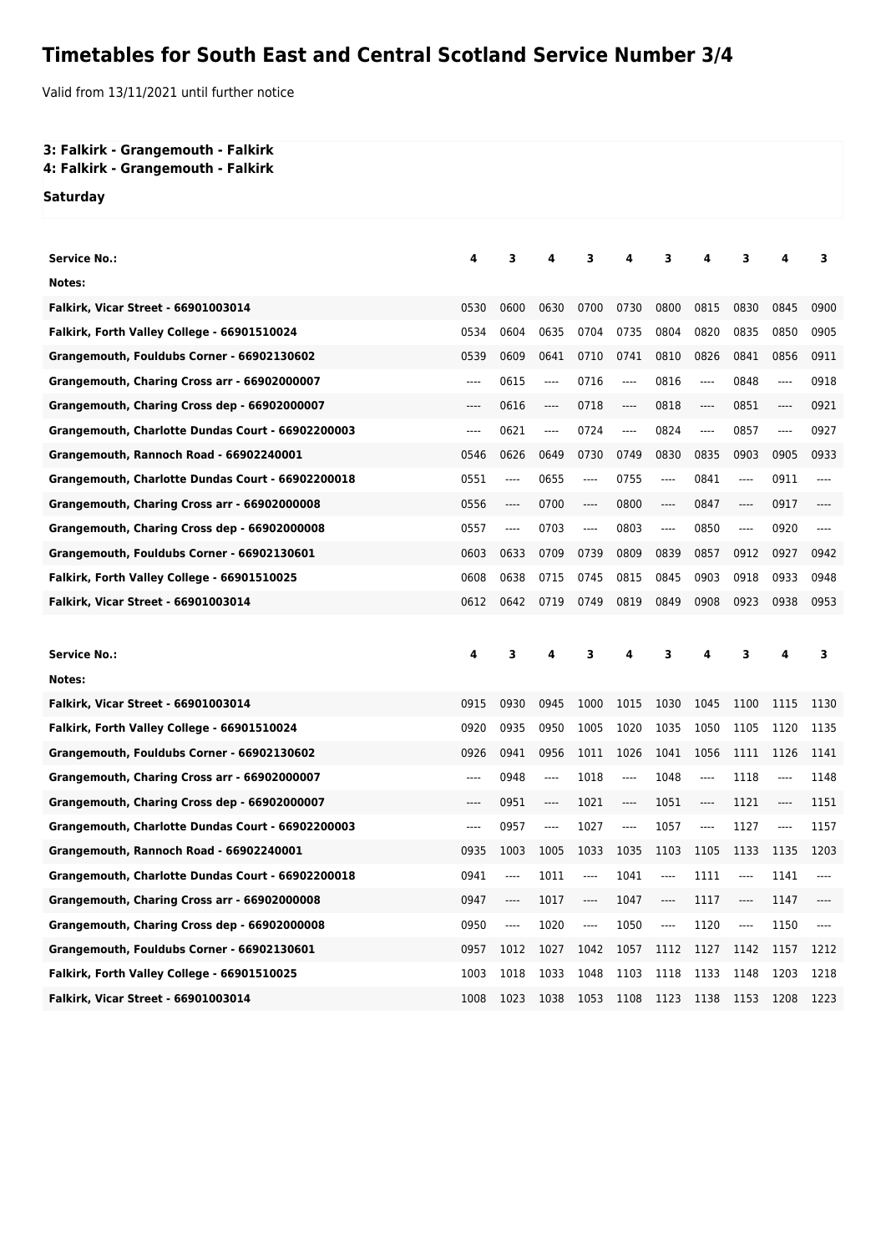## **Timetables for South East and Central Scotland Service Number 3/4**

Valid from 13/11/2021 until further notice

## **3: Falkirk - Grangemouth - Falkirk**

**4: Falkirk - Grangemouth - Falkirk**

**Saturday**

| <b>Service No.:</b>                               | 4     | 3    | 4     | 3    | 4     | 3     | 4     | 3              | 4     | 3     |
|---------------------------------------------------|-------|------|-------|------|-------|-------|-------|----------------|-------|-------|
| Notes:                                            |       |      |       |      |       |       |       |                |       |       |
| <b>Falkirk, Vicar Street - 66901003014</b>        | 0530  | 0600 | 0630  | 0700 | 0730  | 0800  | 0815  | 0830           | 0845  | 0900  |
| Falkirk, Forth Valley College - 66901510024       | 0534  | 0604 | 0635  | 0704 | 0735  | 0804  | 0820  | 0835           | 0850  | 0905  |
| Grangemouth, Fouldubs Corner - 66902130602        | 0539  | 0609 | 0641  | 0710 | 0741  | 0810  | 0826  | 0841           | 0856  | 0911  |
| Grangemouth, Charing Cross arr - 66902000007      | ----  | 0615 | ----  | 0716 | ----  | 0816  | ----  | 0848           | ----  | 0918  |
| Grangemouth, Charing Cross dep - 66902000007      | ----  | 0616 | $---$ | 0718 | $---$ | 0818  | $---$ | 0851           | ----  | 0921  |
| Grangemouth, Charlotte Dundas Court - 66902200003 | ----  | 0621 | ----  | 0724 | ----  | 0824  | ----  | 0857           | ----  | 0927  |
| Grangemouth, Rannoch Road - 66902240001           | 0546  | 0626 | 0649  | 0730 | 0749  | 0830  | 0835  | 0903           | 0905  | 0933  |
| Grangemouth, Charlotte Dundas Court - 66902200018 | 0551  | ---- | 0655  | ---- | 0755  | ----  | 0841  | ----           | 0911  | ----  |
| Grangemouth, Charing Cross arr - 66902000008      | 0556  | ---- | 0700  | ---- | 0800  | $---$ | 0847  | $---$          | 0917  | ----  |
| Grangemouth, Charing Cross dep - 66902000008      | 0557  | ---- | 0703  | ---- | 0803  | ----  | 0850  | ----           | 0920  | ----  |
| Grangemouth, Fouldubs Corner - 66902130601        | 0603  | 0633 | 0709  | 0739 | 0809  | 0839  | 0857  | 0912           | 0927  | 0942  |
| Falkirk, Forth Valley College - 66901510025       | 0608  | 0638 | 0715  | 0745 | 0815  | 0845  | 0903  | 0918           | 0933  | 0948  |
| <b>Falkirk, Vicar Street - 66901003014</b>        | 0612  | 0642 | 0719  | 0749 | 0819  | 0849  | 0908  | 0923           | 0938  | 0953  |
|                                                   |       |      |       |      |       |       |       |                |       |       |
|                                                   |       |      |       |      |       |       |       |                |       |       |
| <b>Service No.:</b>                               | 4     | 3    | 4     | 3    | 4     | 3     | 4     | 3              | 4     | з     |
| Notes:                                            |       |      |       |      |       |       |       |                |       |       |
| <b>Falkirk, Vicar Street - 66901003014</b>        | 0915  | 0930 | 0945  | 1000 | 1015  | 1030  | 1045  | 1100           | 1115  | 1130  |
| Falkirk, Forth Valley College - 66901510024       | 0920  | 0935 | 0950  | 1005 | 1020  | 1035  | 1050  | 1105           | 1120  | 1135  |
| Grangemouth, Fouldubs Corner - 66902130602        | 0926  | 0941 | 0956  | 1011 | 1026  | 1041  | 1056  | 1111           | 1126  | 1141  |
| Grangemouth, Charing Cross arr - 66902000007      | $---$ | 0948 | ----  | 1018 | ----  | 1048  | ----  | 1118           | ----  | 1148  |
| Grangemouth, Charing Cross dep - 66902000007      | ----  | 0951 | ----  | 1021 | ----  | 1051  | ----  | 1121           | ----  | 1151  |
| Grangemouth, Charlotte Dundas Court - 66902200003 | ----  | 0957 | ----  | 1027 | ----  | 1057  | ----  | 1127           | $---$ | 1157  |
| Grangemouth, Rannoch Road - 66902240001           | 0935  | 1003 | 1005  | 1033 | 1035  | 1103  | 1105  | 1133           | 1135  | 1203  |
| Grangemouth, Charlotte Dundas Court - 66902200018 | 0941  | ---- | 1011  | ---- | 1041  | ----  | 1111  | ----           | 1141  | $---$ |
| Grangemouth, Charing Cross arr - 66902000008      | 0947  | ---- | 1017  | ---- | 1047  | $---$ | 1117  | $---$          | 1147  |       |
| Grangemouth, Charing Cross dep - 66902000008      | 0950  | ---- | 1020  | ---- | 1050  | $---$ | 1120  | $\overline{a}$ | 1150  |       |
| Grangemouth, Fouldubs Corner - 66902130601        | 0957  | 1012 | 1027  | 1042 | 1057  | 1112  | 1127  | 1142           | 1157  | 1212  |
| Falkirk, Forth Valley College - 66901510025       | 1003  | 1018 | 1033  | 1048 | 1103  | 1118  | 1133  | 1148           | 1203  | 1218  |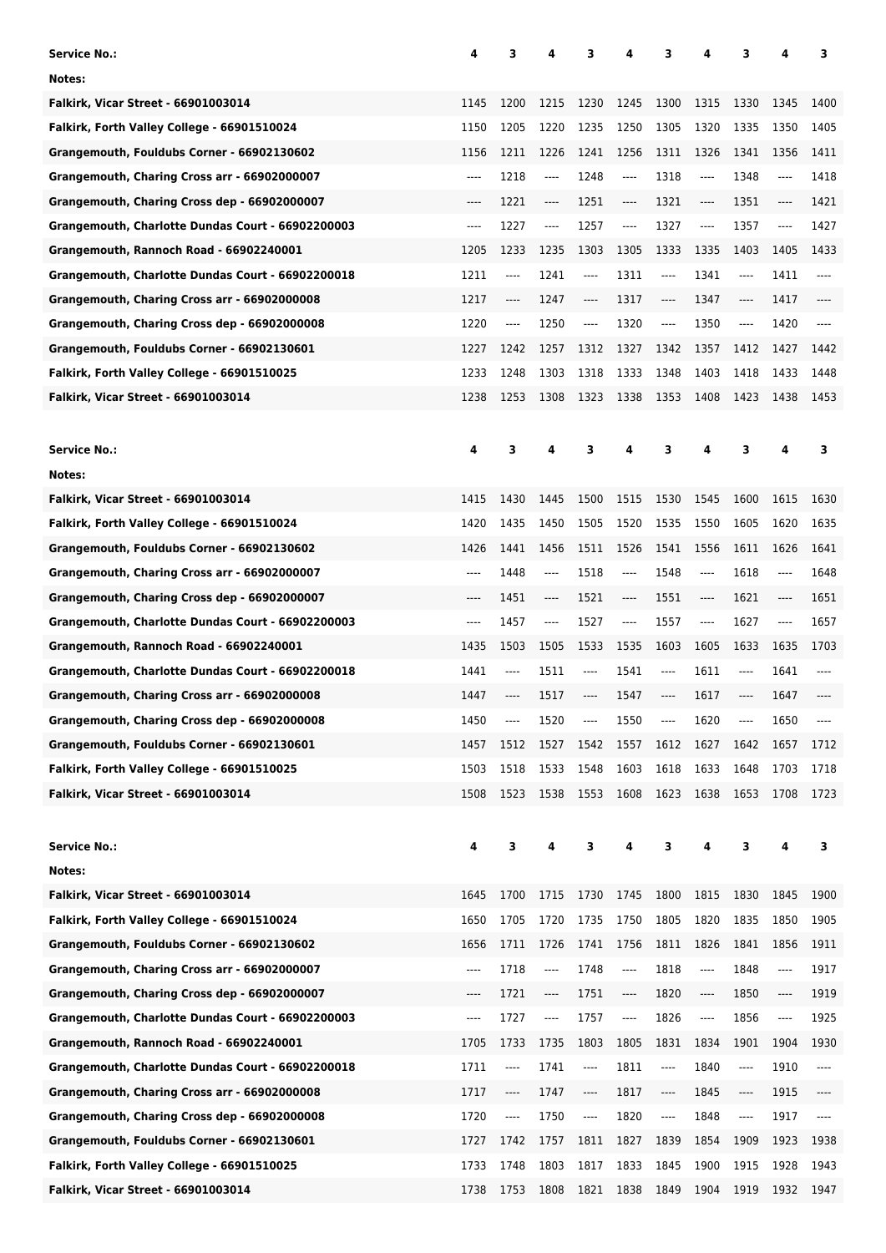| <b>Service No.:</b>                               | 4        | 3        | 4                             | 3                             | 4                             | 3                             | 4                             | 3                             | 4    | з     |
|---------------------------------------------------|----------|----------|-------------------------------|-------------------------------|-------------------------------|-------------------------------|-------------------------------|-------------------------------|------|-------|
| Notes:                                            |          |          |                               |                               |                               |                               |                               |                               |      |       |
| Falkirk, Vicar Street - 66901003014               | 1145     | 1200     | 1215                          | 1230                          | 1245                          | 1300                          | 1315                          | 1330                          | 1345 | 1400  |
| Falkirk, Forth Valley College - 66901510024       | 1150     | 1205     | 1220                          | 1235                          | 1250                          | 1305                          | 1320                          | 1335                          | 1350 | 1405  |
| Grangemouth, Fouldubs Corner - 66902130602        | 1156     | 1211     | 1226                          | 1241                          | 1256                          | 1311                          | 1326                          | 1341                          | 1356 | 1411  |
| Grangemouth, Charing Cross arr - 66902000007      | $---$    | 1218     | ----                          | 1248                          | $---$                         | 1318                          | ----                          | 1348                          | ---- | 1418  |
| Grangemouth, Charing Cross dep - 66902000007      | $---$    | 1221     | $\cdots$                      | 1251                          | ----                          | 1321                          | ----                          | 1351                          | ---- | 1421  |
| Grangemouth, Charlotte Dundas Court - 66902200003 | $-----$  | 1227     | ----                          | 1257                          | $-----$                       | 1327                          | ----                          | 1357                          | ---- | 1427  |
| Grangemouth, Rannoch Road - 66902240001           | 1205     | 1233     | 1235                          | 1303                          | 1305                          | 1333                          | 1335                          | 1403                          | 1405 | 1433  |
| Grangemouth, Charlotte Dundas Court - 66902200018 | 1211     | ----     | 1241                          | $---$                         | 1311                          | $\cdots$                      | 1341                          | ----                          | 1411 | $---$ |
| Grangemouth, Charing Cross arr - 66902000008      | 1217     | ----     | 1247                          | $\cdots$                      | 1317                          | $\cdots$                      | 1347                          | ----                          | 1417 | $---$ |
| Grangemouth, Charing Cross dep - 66902000008      | 1220     | $\cdots$ | 1250                          | $\cdots$                      | 1320                          | $\cdots$                      | 1350                          | $\hspace{1.5cm} \textbf{---}$ | 1420 | $---$ |
| Grangemouth, Fouldubs Corner - 66902130601        | 1227     | 1242     | 1257                          | 1312                          | 1327                          | 1342                          | 1357                          | 1412                          | 1427 | 1442  |
| Falkirk, Forth Valley College - 66901510025       | 1233     | 1248     | 1303                          | 1318                          | 1333                          | 1348                          | 1403                          | 1418                          | 1433 | 1448  |
| Falkirk, Vicar Street - 66901003014               | 1238     | 1253     | 1308                          | 1323                          | 1338                          | 1353                          | 1408                          | 1423                          | 1438 | 1453  |
|                                                   |          |          |                               |                               |                               |                               |                               |                               |      |       |
| <b>Service No.:</b>                               | 4        | 3        | 4                             | 3                             | 4                             | 3                             | 4                             | 3                             | 4    | 3     |
| Notes:                                            |          |          |                               |                               |                               |                               |                               |                               |      |       |
| <b>Falkirk, Vicar Street - 66901003014</b>        | 1415     | 1430     | 1445                          | 1500                          | 1515                          | 1530                          | 1545                          | 1600                          | 1615 | 1630  |
| Falkirk, Forth Valley College - 66901510024       | 1420     | 1435     | 1450                          | 1505                          | 1520                          | 1535                          | 1550                          | 1605                          | 1620 | 1635  |
| Grangemouth, Fouldubs Corner - 66902130602        | 1426     | 1441     | 1456                          | 1511                          | 1526                          | 1541                          | 1556                          | 1611                          | 1626 | 1641  |
| Grangemouth, Charing Cross arr - 66902000007      | ----     | 1448     | $---$                         | 1518                          | $-----$                       | 1548                          | ----                          | 1618                          | ---- | 1648  |
| Grangemouth, Charing Cross dep - 66902000007      | $---$    | 1451     | $-----$                       | 1521                          | ----                          | 1551                          | $\hspace{1.5cm} \textbf{---}$ | 1621                          | ---- | 1651  |
| Grangemouth, Charlotte Dundas Court - 66902200003 | ----     | 1457     | $-----$                       | 1527                          | ----                          | 1557                          | ----                          | 1627                          | ---- | 1657  |
| Grangemouth, Rannoch Road - 66902240001           | 1435     | 1503     | 1505                          | 1533                          | 1535                          | 1603                          | 1605                          | 1633                          | 1635 | 1703  |
| Grangemouth, Charlotte Dundas Court - 66902200018 | 1441     | ----     | 1511                          | ----                          | 1541                          | $---$                         | 1611                          | ----                          | 1641 | ----  |
| Grangemouth, Charing Cross arr - 66902000008      | 1447     | ----     | 1517                          | ----                          | 1547                          | $-----$                       | 1617                          | ----                          | 1647 | $---$ |
| Grangemouth, Charing Cross dep - 66902000008      | 1450     | ----     | 1520                          |                               | 1550                          | ----                          | 1620                          |                               | 1650 | ----  |
| Grangemouth, Fouldubs Corner - 66902130601        | 1457     | 1512     | 1527                          | 1542                          | 1557                          | 1612                          | 1627                          | 1642                          | 1657 | 1712  |
| Falkirk, Forth Valley College - 66901510025       | 1503     | 1518     | 1533                          | 1548                          | 1603                          | 1618                          | 1633                          | 1648                          | 1703 | 1718  |
| Falkirk, Vicar Street - 66901003014               | 1508     | 1523     | 1538                          | 1553                          | 1608                          | 1623                          | 1638                          | 1653                          | 1708 | 1723  |
|                                                   |          |          |                               |                               |                               |                               |                               |                               |      |       |
| <b>Service No.:</b>                               | 4        | 3        | 4                             | 3                             | 4                             | 3                             | 4                             | 3                             | 4    | 3     |
| Notes:                                            |          |          |                               |                               |                               |                               |                               |                               |      |       |
| Falkirk, Vicar Street - 66901003014               | 1645     | 1700     | 1715                          | 1730                          | 1745                          | 1800                          | 1815                          | 1830                          | 1845 | 1900  |
| Falkirk, Forth Valley College - 66901510024       | 1650     | 1705     | 1720                          | 1735                          | 1750                          | 1805                          | 1820                          | 1835                          | 1850 | 1905  |
| Grangemouth, Fouldubs Corner - 66902130602        | 1656     | 1711     | 1726                          | 1741                          | 1756                          | 1811                          | 1826                          | 1841                          | 1856 | 1911  |
| Grangemouth, Charing Cross arr - 66902000007      | $\cdots$ | 1718     | ----                          | 1748                          | ----                          | 1818                          | ----                          | 1848                          | ---- | 1917  |
| Grangemouth, Charing Cross dep - 66902000007      | ----     | 1721     | $\hspace{1.5cm} \textbf{---}$ | 1751                          | $\hspace{1.5cm} \textbf{---}$ | 1820                          | $\hspace{1.5cm} \textbf{---}$ | 1850                          | ---- | 1919  |
| Grangemouth, Charlotte Dundas Court - 66902200003 | $\cdots$ | 1727     | ----                          | 1757                          | ----                          | 1826                          | ----                          | 1856                          | ---- | 1925  |
| Grangemouth, Rannoch Road - 66902240001           | 1705     | 1733     | 1735                          | 1803                          | 1805                          | 1831                          | 1834                          | 1901                          | 1904 | 1930  |
| Grangemouth, Charlotte Dundas Court - 66902200018 | 1711     | ----     | 1741                          | ----                          | 1811                          | ----                          | 1840                          | $\hspace{1.5cm} \textbf{---}$ | 1910 | ----  |
| Grangemouth, Charing Cross arr - 66902000008      | 1717     | ----     | 1747                          | $\hspace{1.5cm} \textbf{---}$ | 1817                          | $\hspace{1.5cm} \textbf{---}$ | 1845                          | ----                          | 1915 | ----  |
| Grangemouth, Charing Cross dep - 66902000008      | 1720     | ----     | 1750                          | ----                          | 1820                          | ----                          | 1848                          | ----                          | 1917 | ----  |
| Grangemouth, Fouldubs Corner - 66902130601        | 1727     | 1742     | 1757                          | 1811                          | 1827                          | 1839                          | 1854                          | 1909                          | 1923 | 1938  |
| Falkirk, Forth Valley College - 66901510025       | 1733     | 1748     | 1803                          | 1817                          | 1833                          | 1845                          | 1900                          | 1915                          | 1928 | 1943  |
| Falkirk, Vicar Street - 66901003014               | 1738     | 1753     | 1808                          | 1821                          | 1838 1849                     |                               | 1904                          | 1919                          | 1932 | 1947  |